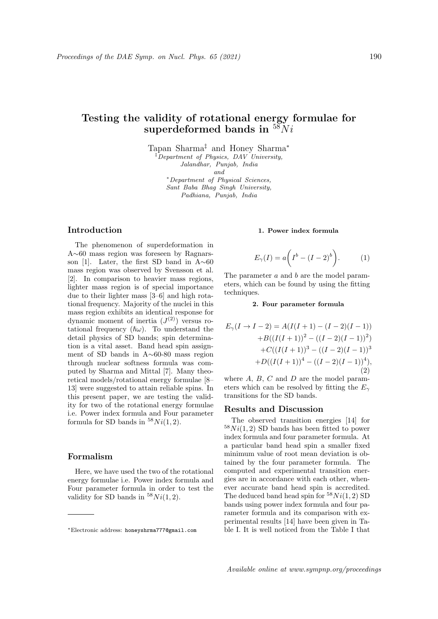# Testing the validity of rotational energy formulae for superdeformed bands in  $58Ni$

Tapan Sharma‡ and Honey Sharma<sup>∗</sup>  $\overline{Department}$  of Physics, DAV University, Jalandhar, Punjab, India

and

<sup>∗</sup>Department of Physical Sciences, Sant Baba Bhag Singh University, Padhiana, Punjab, India

## Introduction

The phenomenon of superdeformation in A∼60 mass region was foreseen by Ragnarsson [1]. Later, the first SD band in A∼60 mass region was observed by Svensson et al. [2]. In comparison to heavier mass regions, lighter mass region is of special importance due to their lighter mass [3–6] and high rotational frequency. Majority of the nuclei in this mass region exhibits an identical response for dynamic moment of inertia  $(J<sup>(2)</sup>)$  versus rotational frequency  $(\hslash \omega)$ . To understand the detail physics of SD bands; spin determination is a vital asset. Band head spin assignment of SD bands in A∼60-80 mass region through nuclear softness formula was computed by Sharma and Mittal [7]. Many theoretical models/rotational energy formulae [8– 13] were suggested to attain reliable spins. In this present paper, we are testing the validity for two of the rotational energy formulae i.e. Power index formula and Four parameter formula for SD bands in  $58Ni(1,2)$ .

# Formalism

Here, we have used the two of the rotational energy formulae i.e. Power index formula and Four parameter formula in order to test the validity for SD bands in  $58Ni(1, 2)$ .

#### 1. Power index formula

$$
E_{\gamma}(I) = a\bigg(I^b - (I - 2)^b\bigg). \tag{1}
$$

The parameter a and b are the model parameters, which can be found by using the fitting techniques.

2. Four parameter formula

$$
E_{\gamma}(I \to I - 2) = A(I(I + 1) - (I - 2)(I - 1))
$$
  
+ B((I(I + 1))<sup>2</sup> - ((I - 2)(I - 1))<sup>2</sup>)  
+ C((I(I + 1))<sup>3</sup> - ((I - 2)(I - 1))<sup>3</sup>)  
+ D((I(I + 1))<sup>4</sup> - ((I - 2)(I - 1))<sup>4</sup>), (2)

where  $A, B, C$  and  $D$  are the model parameters which can be resolved by fitting the  $E_{\gamma}$ transitions for the SD bands.

## Results and Discussion

The observed transition energies [14] for  $58Ni(1, 2)$  SD bands has been fitted to power index formula and four parameter formula. At a particular band head spin a smaller fixed minimum value of root mean deviation is obtained by the four parameter formula. The computed and experimental transition energies are in accordance with each other, whenever accurate band head spin is accredited. The deduced band head spin for  $58Ni(1, 2)$  SD bands using power index formula and four parameter formula and its comparison with experimental results [14] have been given in Table I. It is well noticed from the Table I that

<sup>∗</sup>Electronic address: honeyshrma777@gmail.com